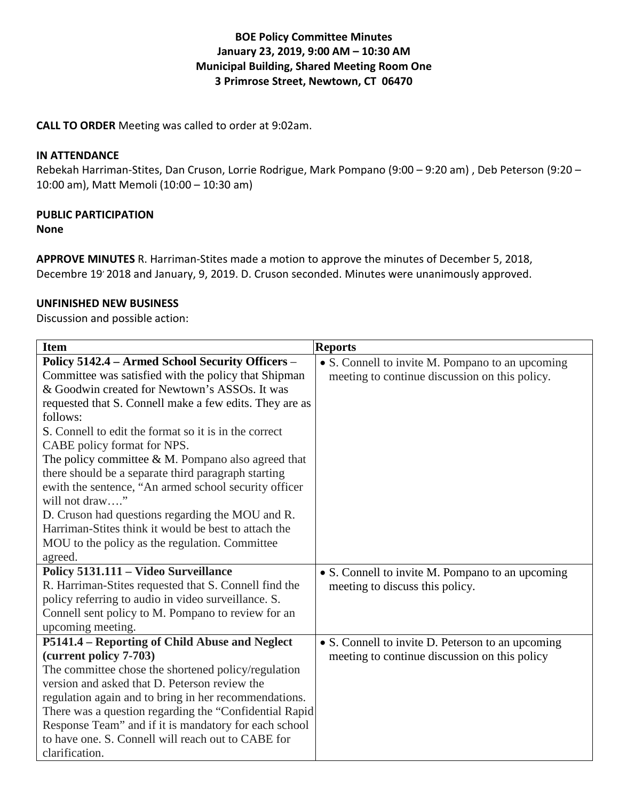## **BOE Policy Committee Minutes January 23, 2019, 9:00 AM – 10:30 AM Municipal Building, Shared Meeting Room One 3 Primrose Street, Newtown, CT 06470**

**CALL TO ORDER** Meeting was called to order at 9:02am.

#### **IN ATTENDANCE**

Rebekah Harriman-Stites, Dan Cruson, Lorrie Rodrigue, Mark Pompano (9:00 – 9:20 am) , Deb Peterson (9:20 – 10:00 am), Matt Memoli (10:00 – 10:30 am)

### **PUBLIC PARTICIPATION**

#### **None**

**APPROVE MINUTES** R. Harriman-Stites made a motion to approve the minutes of December 5, 2018, Decembre 19<sup>'</sup> 2018 and January, 9, 2019. D. Cruson seconded. Minutes were unanimously approved.

#### **UNFINISHED NEW BUSINESS**

Discussion and possible action:

| <b>Item</b>                                             | <b>Reports</b>                                    |
|---------------------------------------------------------|---------------------------------------------------|
| Policy 5142.4 - Armed School Security Officers -        | • S. Connell to invite M. Pompano to an upcoming  |
| Committee was satisfied with the policy that Shipman    | meeting to continue discussion on this policy.    |
| & Goodwin created for Newtown's ASSOs. It was           |                                                   |
| requested that S. Connell make a few edits. They are as |                                                   |
| follows:                                                |                                                   |
| S. Connell to edit the format so it is in the correct   |                                                   |
| CABE policy format for NPS.                             |                                                   |
| The policy committee $\& M.$ Pompano also agreed that   |                                                   |
| there should be a separate third paragraph starting     |                                                   |
| ewith the sentence, "An armed school security officer   |                                                   |
| will not draw"                                          |                                                   |
| D. Cruson had questions regarding the MOU and R.        |                                                   |
| Harriman-Stites think it would be best to attach the    |                                                   |
| MOU to the policy as the regulation. Committee          |                                                   |
| agreed.                                                 |                                                   |
| Policy 5131.111 - Video Surveillance                    | • S. Connell to invite M. Pompano to an upcoming  |
| R. Harriman-Stites requested that S. Connell find the   | meeting to discuss this policy.                   |
| policy referring to audio in video surveillance. S.     |                                                   |
| Connell sent policy to M. Pompano to review for an      |                                                   |
| upcoming meeting.                                       |                                                   |
| P5141.4 - Reporting of Child Abuse and Neglect          | • S. Connell to invite D. Peterson to an upcoming |
| (current policy 7-703)                                  | meeting to continue discussion on this policy     |
| The committee chose the shortened policy/regulation     |                                                   |
| version and asked that D. Peterson review the           |                                                   |
| regulation again and to bring in her recommendations.   |                                                   |
| There was a question regarding the "Confidential Rapid  |                                                   |
| Response Team" and if it is mandatory for each school   |                                                   |
| to have one. S. Connell will reach out to CABE for      |                                                   |
| clarification.                                          |                                                   |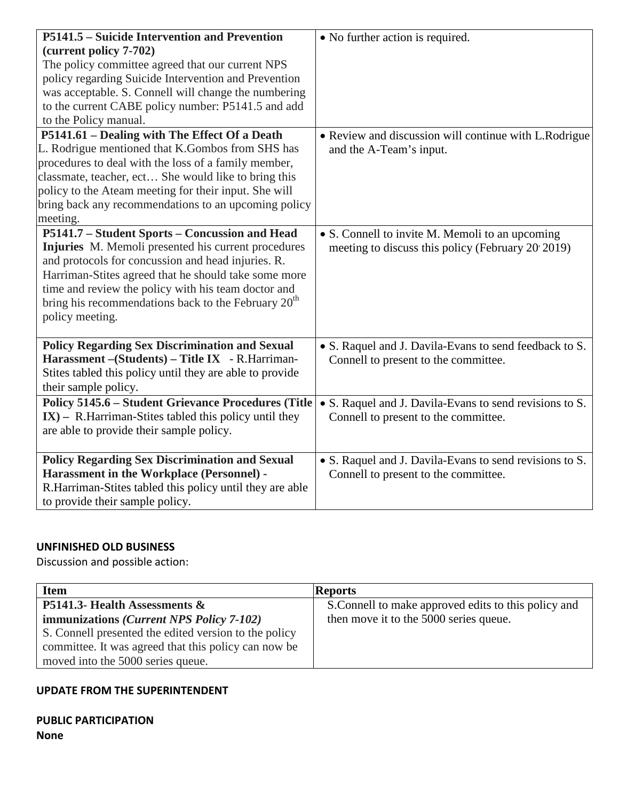| P5141.5 – Suicide Intervention and Prevention<br>(current policy 7-702)                                                                                                                                                                                                                                                                                          | • No further action is required.                                                                      |
|------------------------------------------------------------------------------------------------------------------------------------------------------------------------------------------------------------------------------------------------------------------------------------------------------------------------------------------------------------------|-------------------------------------------------------------------------------------------------------|
| The policy committee agreed that our current NPS<br>policy regarding Suicide Intervention and Prevention                                                                                                                                                                                                                                                         |                                                                                                       |
| was acceptable. S. Connell will change the numbering                                                                                                                                                                                                                                                                                                             |                                                                                                       |
| to the current CABE policy number: P5141.5 and add                                                                                                                                                                                                                                                                                                               |                                                                                                       |
| to the Policy manual.<br>P5141.61 - Dealing with The Effect Of a Death                                                                                                                                                                                                                                                                                           |                                                                                                       |
| L. Rodrigue mentioned that K.Gombos from SHS has<br>procedures to deal with the loss of a family member,<br>classmate, teacher, ect She would like to bring this<br>policy to the Ateam meeting for their input. She will                                                                                                                                        | • Review and discussion will continue with L.Rodrigue<br>and the A-Team's input.                      |
| bring back any recommendations to an upcoming policy                                                                                                                                                                                                                                                                                                             |                                                                                                       |
| meeting.                                                                                                                                                                                                                                                                                                                                                         |                                                                                                       |
| P5141.7 - Student Sports - Concussion and Head<br>Injuries M. Memoli presented his current procedures<br>and protocols for concussion and head injuries. R.<br>Harriman-Stites agreed that he should take some more<br>time and review the policy with his team doctor and<br>bring his recommendations back to the February 20 <sup>th</sup><br>policy meeting. | • S. Connell to invite M. Memoli to an upcoming<br>meeting to discuss this policy (February 20' 2019) |
| <b>Policy Regarding Sex Discrimination and Sexual</b><br>Harassment - (Students) - Title IX - R. Harriman-<br>Stites tabled this policy until they are able to provide<br>their sample policy.                                                                                                                                                                   | • S. Raquel and J. Davila-Evans to send feedback to S.<br>Connell to present to the committee.        |
| <b>Policy 5145.6 - Student Grievance Procedures (Title</b><br>$IX$ ) – R.Harriman-Stites tabled this policy until they<br>are able to provide their sample policy.                                                                                                                                                                                               | • S. Raquel and J. Davila-Evans to send revisions to S.<br>Connell to present to the committee.       |
| <b>Policy Regarding Sex Discrimination and Sexual</b><br><b>Harassment in the Workplace (Personnel) -</b><br>R.Harriman-Stites tabled this policy until they are able<br>to provide their sample policy.                                                                                                                                                         | • S. Raquel and J. Davila-Evans to send revisions to S.<br>Connell to present to the committee.       |

# **UNFINISHED OLD BUSINESS**

Discussion and possible action:

| <b>Item</b>                                           | <b>Reports</b>                                       |
|-------------------------------------------------------|------------------------------------------------------|
| P5141.3- Health Assessments &                         | S. Connell to make approved edits to this policy and |
| immunizations ( <i>Current NPS Policy 7-102</i> )     | then move it to the 5000 series queue.               |
| S. Connell presented the edited version to the policy |                                                      |
| committee. It was agreed that this policy can now be  |                                                      |
| moved into the 5000 series queue.                     |                                                      |

## **UPDATE FROM THE SUPERINTENDENT**

| <b>PUBLIC PARTICIPATION</b> |
|-----------------------------|
| None                        |